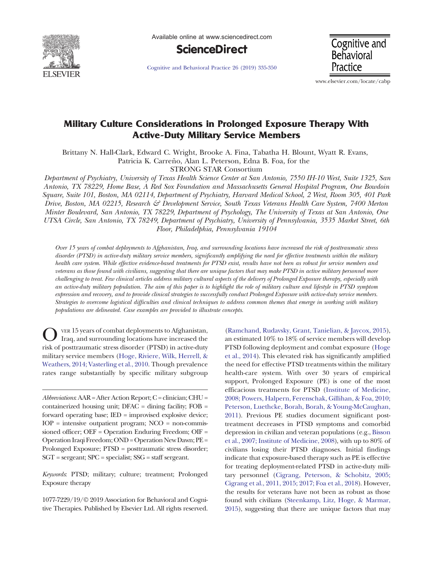

Available online at www.sciencedirect.com



[Cognitive and Behavioral Practice 26 \(2019\) 335-350](https://doi.org/)

**Cognitive and Behavioral** Practice

www.elsevier.com/locate/cabp

# Military Culture Considerations in Prolonged Exposure Therapy With Active-Duty Military Service Members

Brittany N. Hall-Clark, Edward C. Wright, Brooke A. Fina, Tabatha H. Blount, Wyatt R. Evans,

Patricia K. Carreño, Alan L. Peterson, Edna B. Foa, for the

STRONG STAR Consortium

Department of Psychiatry, University of Texas Health Science Center at San Antonio, 7550 IH-10 West, Suite 1325, San Antonio, TX 78229, Home Base, A Red Sox Foundation and Massachusetts General Hospital Program, One Bowdoin Square, Suite 101, Boston, MA 02114, Department of Psychiatry, Harvard Medical School, 2 West, Room 305, 401 Park Drive, Boston, MA 02215, Research & Development Service, South Texas Veterans Health Care System, 7400 Merton Minter Boulevard, San Antonio, TX 78229, Department of Psychology, The University of Texas at San Antonio, One UTSA Circle, San Antonio, TX 78249, Department of Psychiatry, University of Pennsylvania, 3535 Market Street, 6th Floor, Philadelphia, Pennsylvania 19104

Over 15 years of combat deployments to Afghanistan, Iraq, and surrounding locations have increased the risk of posttraumatic stress disorder (PTSD) in active-duty military service members, significantly amplifying the need for effective treatments within the military health care system. While effective evidence-based treatments for PTSD exist, results have not been as robust for service members and veterans as those found with civilians, suggesting that there are unique factors that may make PTSD in active military personnel more challenging to treat. Few clinical articles address military cultural aspects of the delivery of Prolonged Exposure therapy, especially with an active-duty military population. The aim of this paper is to highlight the role of military culture and lifestyle in PTSD symptom expression and recovery, and to provide clinical strategies to successfully conduct Prolonged Exposure with active-duty service members. Strategies to overcome logistical difficulties and clinical techniques to address common themes that emerge in working with military populations are delineated. Case examples are provided to illustrate concepts.

O VER 15 years of combat deployments to Afghanistan,<br>Iraq, and surrounding locations have increased the risk of posttraumatic stress disorder (PTSD) in active-duty military service members [\(Hoge, Riviere, Wilk, Herrell, &](#page-14-0) [Weathers, 2014; Vasterling et al., 2010](#page-14-0). Though prevalence rates range substantially by specific military subgroup

Keywords: PTSD; military; culture; treatment; Prolonged Exposure therapy

1077-7229/19/© 2019 Association for Behavioral and Cognitive Therapies. Published by Elsevier Ltd. All rights reserved.

([Ramchand, Rudavsky, Grant, Tanielian, & Jaycox, 2015\)](#page-15-0), an estimated 10% to 18% of service members will develop PTSD following deployment and combat exposure [\(Hoge](#page-14-0) [et al., 2014\)](#page-14-0). This elevated risk has significantly amplified the need for effective PTSD treatments within the military health-care system. With over 30 years of empirical support, Prolonged Exposure (PE) is one of the most efficacious treatments for PTSD ([Institute of Medicine,](#page-14-0) [2008; Powers, Halpern, Ferenschak, Gillihan, & Foa, 2010;](#page-14-0) [Peterson, Luethcke, Borah, Borah, & Young-McCaughan,](#page-14-0) [2011\)](#page-14-0). Previous PE studies document significant posttreatment decreases in PTSD symptoms and comorbid depression in civilian and veteran populations (e.g., [Bisson](#page-14-0) [et al., 2007; Institute of Medicine, 2008\)](#page-14-0), with up to 80% of civilians losing their PTSD diagnoses. Initial findings indicate that exposure-based therapy such as PE is effective for treating deployment-related PTSD in active-duty military personnel [\(Cigrang, Peterson, & Schobitz, 2005;](#page-14-0) [Cigrang et al., 2011, 2015; 2017; Foa et al., 2018](#page-14-0)). However, the results for veterans have not been as robust as those found with civilians [\(Steenkamp, Litz, Hoge, & Marmar,](#page-15-0) [2015\)](#page-15-0), suggesting that there are unique factors that may

 $Abbreviations: AAR = After Action Report; C = clinical; CHU =$ containerized housing unit; DFAC = dining facility; FOB = forward operating base; IED = improvised explosive device;  $IOP =$  intensive outpatient program;  $NCO =$  non-commissioned officer; OEF = Operation Enduring Freedom; OIF = Operation Iraqi Freedom; OND = Operation New Dawn; PE = Prolonged Exposure; PTSD = posttraumatic stress disorder; SGT = sergeant; SPC = specialist; SSG = staff sergeant.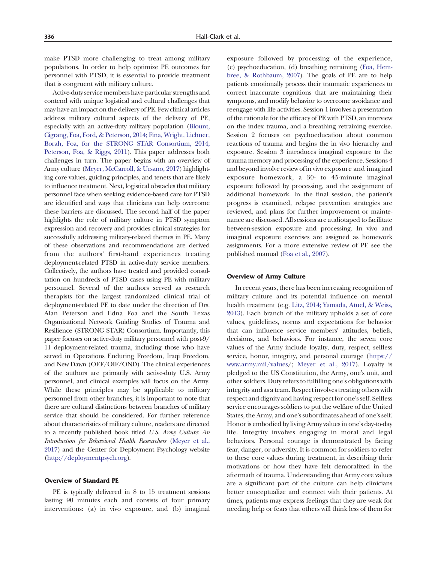make PTSD more challenging to treat among military populations. In order to help optimize PE outcomes for personnel with PTSD, it is essential to provide treatment that is congruent with military culture.

Active-duty service members have particular strengths and contend with unique logistical and cultural challenges that may have an impact on the delivery of PE. Few clinical articles address military cultural aspects of the delivery of PE, especially with an active-duty military population [\(Blount,](#page-14-0) [Cigrang, Foa, Ford, & Peterson, 2014; Fina, Wright, Lichner,](#page-14-0) [Borah, Foa, for the STRONG STAR Consortium, 2014;](#page-14-0) [Peterson, Foa, & Riggs, 2011](#page-14-0)). This paper addresses both challenges in turn. The paper begins with an overview of Army culture ([Meyer, McCarroll, & Ursano, 2017\)](#page-14-0) highlighting core values, guiding principles, and tenets that are likely to influence treatment. Next, logistical obstacles that military personnel face when seeking evidence-based care for PTSD are identified and ways that clinicians can help overcome these barriers are discussed. The second half of the paper highlights the role of military culture in PTSD symptom expression and recovery and provides clinical strategies for successfully addressing military-related themes in PE. Many of these observations and recommendations are derived from the authors' first-hand experiences treating deployment-related PTSD in active-duty service members. Collectively, the authors have treated and provided consultation on hundreds of PTSD cases using PE with military personnel. Several of the authors served as research therapists for the largest randomized clinical trial of deployment-related PE to date under the direction of Drs. Alan Peterson and Edna Foa and the South Texas Organizational Network Guiding Studies of Trauma and Resilience (STRONG STAR) Consortium. Importantly, this paper focuses on active-duty military personnel with post-9/ 11 deployment-related trauma, including those who have served in Operations Enduring Freedom, Iraqi Freedom, and New Dawn (OEF/OIF/OND). The clinical experiences of the authors are primarily with active-duty U.S. Army personnel, and clinical examples will focus on the Army. While these principles may be applicable to military personnel from other branches, it is important to note that there are cultural distinctions between branches of military service that should be considered. For further reference about characteristics of military culture, readers are directed to a recently published book titled U.S. Army Culture: An Introduction for Behavioral Health Researchers ([Meyer et al.,](#page-14-0) [2017\)](#page-14-0) and the Center for Deployment Psychology website [\(http://deploymentpsych.org\)](http://deploymentpsych.org).

### Overview of Standard PE

PE is typically delivered in 8 to 15 treatment sessions lasting 90 minutes each and consists of four primary interventions: (a) in vivo exposure, and (b) imaginal

exposure followed by processing of the experience, (c) psychoeducation, (d) breathing retraining [\(Foa, Hem](#page-14-0)[bree, & Rothbaum, 2007](#page-14-0)). The goals of PE are to help patients emotionally process their traumatic experiences to correct inaccurate cognitions that are maintaining their symptoms, and modify behavior to overcome avoidance and reengage with life activities. Session 1 involves a presentation of the rationale for the efficacy of PE with PTSD, an interview on the index trauma, and a breathing retraining exercise. Session 2 focuses on psychoeducation about common reactions of trauma and begins the in vivo hierarchy and exposure. Session 3 introduces imaginal exposure to the trauma memory and processing of the experience. Sessions 4 and beyond involve review of in vivo exposure and imaginal exposure homework, a 30- to 45-minute imaginal exposure followed by processing, and the assignment of additional homework. In the final session, the patient's progress is examined, relapse prevention strategies are reviewed, and plans for further improvement or maintenance are discussed. All sessions are audiotaped to facilitate between-session exposure and processing. In vivo and imaginal exposure exercises are assigned as homework assignments. For a more extensive review of PE see the published manual [\(Foa et al., 2007](#page-14-0)).

### Overview of Army Culture

In recent years, there has been increasing recognition of military culture and its potential influence on mental health treatment (e.g. [Litz, 2014; Yamada, Atuel, & Weiss,](#page-14-0) [2013](#page-14-0)). Each branch of the military upholds a set of core values, guidelines, norms and expectations for behavior that can influence service members' attitudes, beliefs, decisions, and behaviors. For instance, the seven core values of the Army include loyalty, duty, respect, selfless service, honor, integrity, and personal courage ([https://](https://www.army.mil/values) [www.army.mil/values](https://www.army.mil/values)/; [Meyer et al., 2017](#page-14-0)). Loyalty is pledged to the US Constitution, the Army, one's unit, and other soldiers. Duty refers to fulfilling one's obligations with integrity and as a team. Respect involves treating others with respect and dignity and having respect for one's self. Selfless service encourages soldiers to put the welfare of the United States, the Army, and one's subordinates ahead of one's self. Honor is embodied by living Army values in one's day-to-day life. Integrity involves engaging in moral and legal behaviors. Personal courage is demonstrated by facing fear, danger, or adversity. It is common for soldiers to refer to these core values during treatment, in describing their motivations or how they have felt demoralized in the aftermath of trauma. Understanding that Army core values are a significant part of the culture can help clinicians better conceptualize and connect with their patients. At times, patients may express feelings that they are weak for needing help or fears that others will think less of them for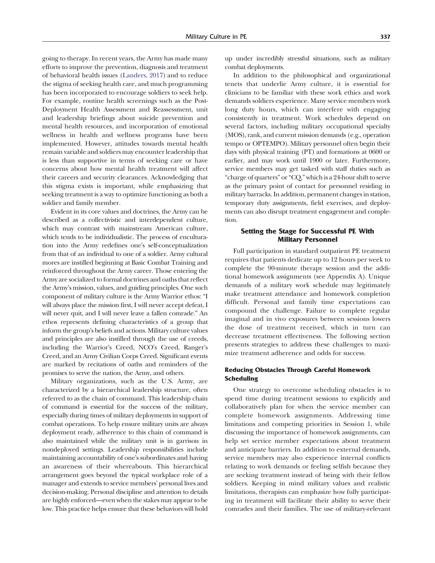going to therapy. In recent years, the Army has made many efforts to improve the prevention, diagnosis and treatment of behavioral health issues ([Landers, 2017](#page-14-0)) and to reduce the stigma of seeking health care, and much programming has been incorporated to encourage soldiers to seek help. For example, routine health screenings such as the Post-Deployment Health Assessment and Reassessment, unit and leadership briefings about suicide prevention and mental health resources, and incorporation of emotional wellness in health and wellness programs have been implemented. However, attitudes towards mental health remain variable and soldiers may encounter leadership that is less than supportive in terms of seeking care or have concerns about how mental health treatment will affect their careers and security clearances. Acknowledging that this stigma exists is important, while emphasizing that seeking treatment is a way to optimize functioning as both a soldier and family member.

Evident in its core values and doctrines, the Army can be described as a collectivistic and interdependent culture, which may contrast with mainstream American culture, which tends to be individualistic. The process of enculturation into the Army redefines one's self-conceptualization from that of an individual to one of a soldier. Army cultural mores are instilled beginning at Basic Combat Training and reinforced throughout the Army career. Those entering the Army are socialized to formal doctrines and oaths that reflect the Army's mission, values, and guiding principles. One such component of military culture is the Army Warrior ethos: "I will always place the mission first, I will never accept defeat, I will never quit, and I will never leave a fallen comrade." An ethos represents defining characteristics of a group that inform the group's beliefs and actions. Military culture values and principles are also instilled through the use of creeds, including the Warrior's Creed, NCO's Creed, Ranger's Creed, and an Army Civilian Corps Creed. Significant events are marked by recitations of oaths and reminders of the promises to serve the nation, the Army, and others.

Military organizations, such as the U.S. Army, are characterized by a hierarchical leadership structure, often referred to as the chain of command. This leadership chain of command is essential for the success of the military, especially during times of military deployments in support of combat operations. To help ensure military units are always deployment ready, adherence to this chain of command is also maintained while the military unit is in garrison in nondeployed settings. Leadership responsibilities include maintaining accountability of one's subordinates and having an awareness of their whereabouts. This hierarchical arrangement goes beyond the typical workplace role of a manager and extends to service members' personal lives and decision-making. Personal discipline and attention to details are highly enforced—even when the stakes may appear to be low. This practice helps ensure that these behaviors will hold

up under incredibly stressful situations, such as military combat deployments.

In addition to the philosophical and organizational tenets that underlie Army culture, it is essential for clinicians to be familiar with these work ethics and work demands soldiers experience. Many service members work long duty hours, which can interfere with engaging consistently in treatment. Work schedules depend on several factors, including military occupational specialty (MOS), rank, and current mission demands (e.g., operation tempo or OPTEMPO). Military personnel often begin their days with physical training (PT) and formations at 0600 or earlier, and may work until 1900 or later. Furthermore, service members may get tasked with staff duties such as "charge of quarters" or"CQ,"which is a 24-hour shift to serve as the primary point of contact for personnel residing in military barracks. In addition, permanent changes in station, temporary duty assignments, field exercises, and deployments can also disrupt treatment engagement and completion.

## Setting the Stage for Successful PE With Military Personnel

Full participation in standard outpatient PE treatment requires that patients dedicate up to 12 hours per week to complete the 90-minute therapy session and the additional homework assignments (see Appendix A). Unique demands of a military work schedule may legitimately make treatment attendance and homework completion difficult. Personal and family time expectations can compound the challenge. Failure to complete regular imaginal and in vivo exposures between sessions lowers the dose of treatment received, which in turn can decrease treatment effectiveness. The following section presents strategies to address these challenges to maximize treatment adherence and odds for success.

### Reducing Obstacles Through Careful Homework **Scheduling**

One strategy to overcome scheduling obstacles is to spend time during treatment sessions to explicitly and collaboratively plan for when the service member can complete homework assignments. Addressing time limitations and competing priorities in Session 1, while discussing the importance of homework assignments, can help set service member expectations about treatment and anticipate barriers. In addition to external demands, service members may also experience internal conflicts relating to work demands or feeling selfish because they are seeking treatment instead of being with their fellow soldiers. Keeping in mind military values and realistic limitations, therapists can emphasize how fully participating in treatment will facilitate their ability to serve their comrades and their families. The use of military-relevant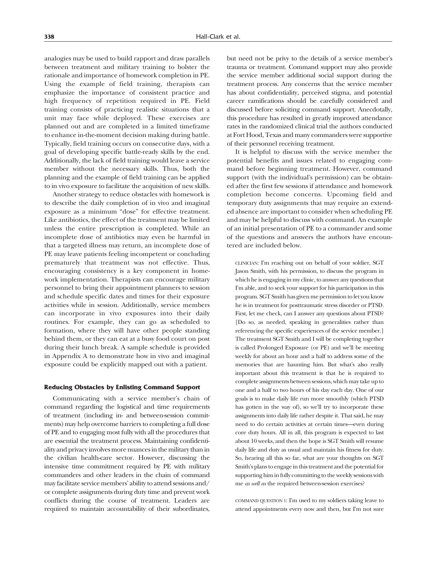analogies may be used to build rapport and draw parallels between treatment and military training to bolster the rationale and importance of homework completion in PE. Using the example of field training, therapists can emphasize the importance of consistent practice and high frequency of repetition required in PE. Field training consists of practicing realistic situations that a unit may face while deployed. These exercises are planned out and are completed in a limited timeframe to enhance in-the-moment decision making during battle. Typically, field training occurs on consecutive days, with a goal of developing specific battle-ready skills by the end. Additionally, the lack of field training would leave a service member without the necessary skills. Thus, both the planning and the example of field training can be applied to in vivo exposure to facilitate the acquisition of new skills.

Another strategy to reduce obstacles with homework is to describe the daily completion of in vivo and imaginal exposure as a minimum "dose" for effective treatment. Like antibiotics, the effect of the treatment may be limited unless the entire prescription is completed. While an incomplete dose of antibiotics may even be harmful in that a targeted illness may return, an incomplete dose of PE may leave patients feeling incompetent or concluding prematurely that treatment was not effective. Thus, encouraging consistency is a key component in homework implementation. Therapists can encourage military personnel to bring their appointment planners to session and schedule specific dates and times for their exposure activities while in session. Additionally, service members can incorporate in vivo exposures into their daily routines. For example, they can go as scheduled to formation, where they will have other people standing behind them, or they can eat at a busy food court on post during their lunch break. A sample schedule is provided in Appendix A to demonstrate how in vivo and imaginal exposure could be explicitly mapped out with a patient.

### Reducing Obstacles by Enlisting Command Support

Communicating with a service member's chain of command regarding the logistical and time requirements of treatment (including in- and between-session commitments) may help overcome barriers to completing a full dose of PE and to engaging most fully with all the procedures that are essential the treatment process. Maintaining confidentiality and privacy involves more nuances in the military than in the civilian health-care sector. However, discussing the intensive time commitment required by PE with military commanders and other leaders in the chain of command may facilitate service members' ability to attend sessions and/ or complete assignments during duty time and prevent work conflicts during the course of treatment. Leaders are required to maintain accountability of their subordinates,

but need not be privy to the details of a service member's trauma or treatment. Command support may also provide the service member additional social support during the treatment process. Any concerns that the service member has about confidentiality, perceived stigma, and potential career ramifications should be carefully considered and discussed before soliciting command support. Anecdotally, this procedure has resulted in greatly improved attendance rates in the randomized clinical trial the authors conducted at Fort Hood, Texas and many commanders were supportive of their personnel receiving treatment.

It is helpful to discuss with the service member the potential benefits and issues related to engaging command before beginning treatment. However, command support (with the individual's permission) can be obtained after the first few sessions if attendance and homework completion become concerns. Upcoming field and temporary duty assignments that may require an extended absence are important to consider when scheduling PE and may be helpful to discuss with command. An example of an initial presentation of PE to a commander and some of the questions and answers the authors have encountered are included below.

CLINICIAN: I'm reaching out on behalf of your soldier, SGT Jason Smith, with his permission, to discuss the program in which he is engaging in my clinic, to answer any questions that I'm able, and to seek your support for his participation in this program. SGT Smith has given me permission to let you know he is in treatment for posttraumatic stress disorder or PTSD. First, let me check, can I answer any questions about PTSD? [Do so, as needed, speaking in generalities rather than referencing the specific experiences of the service member.] The treatment SGT Smith and I will be completing together is called Prolonged Exposure (or PE) and we'll be meeting weekly for about an hour and a half to address some of the memories that are haunting him. But what's also really important about this treatment is that he is required to complete assignments between sessions, which may take up to one and a half to two hours of his day each day. One of our goals is to make daily life run more smoothly (which PTSD has gotten in the way of), so we'll try to incorporate these assignments into daily life rather despite it. That said, he may need to do certain activities at certain times—even during core duty hours. All in all, this program is expected to last about 10 weeks, and then the hope is SGT Smith will resume daily life and duty as usual and maintain his fitness for duty. So, hearing all this so far, what are your thoughts on SGT Smith's plans to engage in this treatment and the potential for supporting him in fully committing to the weekly sessions with me as well as the required between-session exercises?

COMMAND QUESTION 1: I'm used to my soldiers taking leave to attend appointments every now and then, but I'm not sure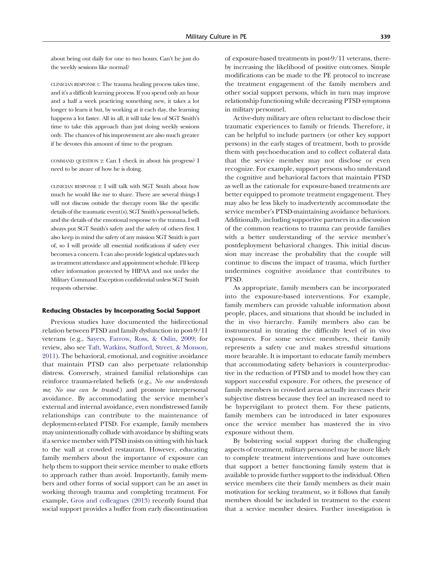about being out daily for one to two hours. Can't he just do the weekly sessions like normal?

CLINICIAN RESPONSE 1: The trauma healing process takes time, and it's a difficult learning process. If you spend only an hour and a half a week practicing something new, it takes a lot longer to learn it but, by working at it each day, the learning happens a lot faster. All in all, it will take less of SGT Smith's time to take this approach than just doing weekly sessions only. The chances of his improvement are also much greater if he devotes this amount of time to the program.

COMMAND QUESTION 2: Can I check in about his progress? I need to be aware of how he is doing.

CLINICIAN RESPONSE 2: I will talk with SGT Smith about how much he would like me to share. There are several things I will not discuss outside the therapy room like the specific details of the traumatic event(s), SGT Smith's personal beliefs, and the details of the emotional response to the trauma. I will always put SGT Smith's safety and the safety of others first. I also keep in mind the safety of any mission SGT Smith is part of, so I will provide all essential notifications if safety ever becomes a concern. I can also provide logistical updates such as treatment attendance and appointment schedule. I'll keep other information protected by HIPAA and not under the Military Command Exception confidential unless SGT Smith requests otherwise.

### Reducing Obstacles by Incorporating Social Support

Previous studies have documented the bidirectional relation between PTSD and family dysfunction in post-9/11 veterans (e.g., [Sayers, Farrow, Ross, & Oslin, 2009;](#page-15-0) for review, also see [Taft, Watkins, Stafford, Street, & Monson,](#page-15-0) [2011](#page-15-0)). The behavioral, emotional, and cognitive avoidance that maintain PTSD can also perpetuate relationship distress. Conversely, strained familial relationships can reinforce trauma-related beliefs (e.g., No one understands me; No one can be trusted.) and promote interpersonal avoidance. By accommodating the service member's external and internal avoidance, even nondistressed family relationships can contribute to the maintenance of deployment-related PTSD. For example, family members may unintentionally collude with avoidance by shifting seats if a service member with PTSD insists on sitting with his back to the wall at crowded restaurant. However, educating family members about the importance of exposure can help them to support their service member to make efforts to approach rather than avoid. Importantly, family members and other forms of social support can be an asset in working through trauma and completing treatment. For example, [Gros and colleagues \(2013\)](#page-14-0) recently found that social support provides a buffer from early discontinuation

of exposure-based treatments in post-9/11 veterans, thereby increasing the likelihood of positive outcomes. Simple modifications can be made to the PE protocol to increase the treatment engagement of the family members and other social support persons, which in turn may improve relationship functioning while decreasing PTSD symptoms in military personnel.

Active-duty military are often reluctant to disclose their traumatic experiences to family or friends. Therefore, it can be helpful to include partners (or other key support persons) in the early stages of treatment, both to provide them with psychoeducation and to collect collateral data that the service member may not disclose or even recognize. For example, support persons who understand the cognitive and behavioral factors that maintain PTSD as well as the rationale for exposure-based treatments are better equipped to promote treatment engagement. They may also be less likely to inadvertently accommodate the service member's PTSD-maintaining avoidance behaviors. Additionally, including supportive partners in a discussion of the common reactions to trauma can provide families with a better understanding of the service member's postdeployment behavioral changes. This initial discussion may increase the probability that the couple will continue to discuss the impact of trauma, which further undermines cognitive avoidance that contributes to PTSD.

As appropriate, family members can be incorporated into the exposure-based interventions. For example, family members can provide valuable information about people, places, and situations that should be included in the in vivo hierarchy. Family members also can be instrumental in titrating the difficulty level of in vivo exposures. For some service members, their family represents a safety cue and makes stressful situations more bearable. It is important to educate family members that accommodating safety behaviors is counterproductive in the reduction of PTSD and to model how they can support successful exposure. For others, the presence of family members in crowded areas actually increases their subjective distress because they feel an increased need to be hypervigilant to protect them. For these patients, family members can be introduced in later exposures once the service member has mastered the in vivo exposure without them.

By bolstering social support during the challenging aspects of treatment, military personnel may be more likely to complete treatment interventions and have outcomes that support a better functioning family system that is available to provide further support to the individual. Often service members cite their family members as their main motivation for seeking treatment, so it follows that family members should be included in treatment to the extent that a service member desires. Further investigation is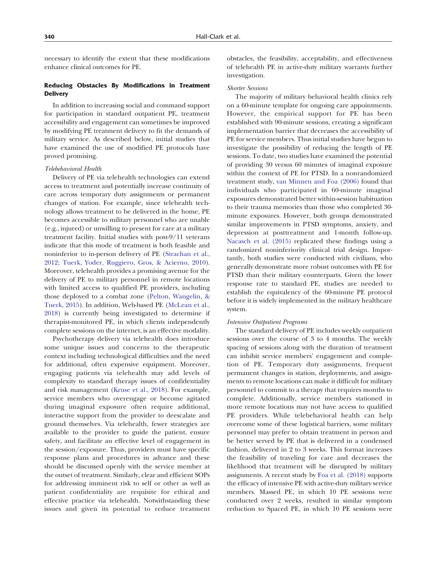necessary to identify the extent that these modifications enhance clinical outcomes for PE.

# Reducing Obstacles By Modifications in Treatment **Delivery**

In addition to increasing social and command support for participation in standard outpatient PE, treatment accessibility and engagement can sometimes be improved by modifying PE treatment delivery to fit the demands of military service. As described below, initial studies that have examined the use of modified PE protocols have proved promising.

#### Telebehavioral Health

Delivery of PE via telehealth technologies can extend access to treatment and potentially increase continuity of care across temporary duty assignments or permanent changes of station. For example, since telehealth technology allows treatment to be delivered in the home, PE becomes accessible to military personnel who are unable (e.g., injured) or unwilling to present for care at a military treatment facility. Initial studies with post-9/11 veterans indicate that this mode of treatment is both feasible and noninferior to in-person delivery of PE ([Strachan et al.,](#page-15-0) [2012; Tuerk, Yoder, Ruggiero, Gros, & Acierno, 2010\)](#page-15-0). Moreover, telehealth provides a promising avenue for the delivery of PE to military personnel in remote locations with limited access to qualified PE providers, including those deployed to a combat zone ([Pelton, Wangelin, &](#page-14-0) [Tuerk, 2015\)](#page-14-0). In addition, Web-based PE ([McLean et al.,](#page-14-0) [2018\)](#page-14-0) is currently being investigated to determine if therapist-monitored PE, in which clients independently complete sessions on the internet, is an effective modality.

Psychotherapy delivery via telehealth does introduce some unique issues and concerns to the therapeutic context including technological difficulties and the need for additional, often expensive equipment. Moreover, engaging patients via telehealth may add levels of complexity to standard therapy issues of confidentiality and risk management ([Kruse et al., 2018\)](#page-14-0). For example, service members who overengage or become agitated during imaginal exposure often require additional, interactive support from the provider to deescalate and ground themselves. Via telehealth, fewer strategies are available to the provider to guide the patient, ensure safety, and facilitate an effective level of engagement in the session/exposure. Thus, providers must have specific response plans and procedures in advance and these should be discussed openly with the service member at the outset of treatment. Similarly, clear and efficient SOPs for addressing imminent risk to self or other as well as patient confidentiality are requisite for ethical and effective practice via telehealth. Notwithstanding these issues and given its potential to reduce treatment obstacles, the feasibility, acceptability, and effectiveness of telehealth PE in active-duty military warrants further investigation.

#### Shorter Sessions

The majority of military behavioral health clinics rely on a 60-minute template for ongoing care appointments. However, the empirical support for PE has been established with 90-minute sessions, creating a significant implementation barrier that decreases the accessibility of PE for service members. Thus initial studies have begun to investigate the possibility of reducing the length of PE sessions. To date, two studies have examined the potential of providing 30 versus 60 minutes of imaginal exposure within the context of PE for PTSD. In a nonrandomized treatment study, [van Minnen and Foa \(2006\)](#page-15-0) found that individuals who participated in 60-minute imaginal exposures demonstrated better within-session habituation to their trauma memories than those who completed 30 minute exposures. However, both groups demonstrated similar improvements in PTSD symptoms, anxiety, and depression at posttreatment and 1-month follow-up. [Nacasch et al. \(2015\)](#page-14-0) replicated these findings using a randomized noninferiority clinical trial design. Importantly, both studies were conducted with civilians, who generally demonstrate more robust outcomes with PE for PTSD than their military counterparts. Given the lower response rate to standard PE, studies are needed to establish the equivalency of the 60-minute PE protocol before it is widely implemented in the military healthcare system.

#### Intensive Outpatient Programs

The standard delivery of PE includes weekly outpatient sessions over the course of 3 to 4 months. The weekly spacing of sessions along with the duration of treatment can inhibit service members' engagement and completion of PE. Temporary duty assignments, frequent permanent changes in station, deployments, and assignments to remote locations can make it difficult for military personnel to commit to a therapy that requires months to complete. Additionally, service members stationed in more remote locations may not have access to qualified PE providers. While telebehavioral health can help overcome some of these logistical barriers, some military personnel may prefer to obtain treatment in person and be better served by PE that is delivered in a condensed fashion, delivered in 2 to 3 weeks. This format increases the feasibility of traveling for care and decreases the likelihood that treatment will be disrupted by military assignments. A recent study by [Foa et al. \(2018\)](#page-14-0) supports the efficacy of intensive PE with active-duty military service members. Massed PE, in which 10 PE sessions were conducted over 2 weeks, resulted in similar symptom reduction to Spaced PE, in which 10 PE sessions were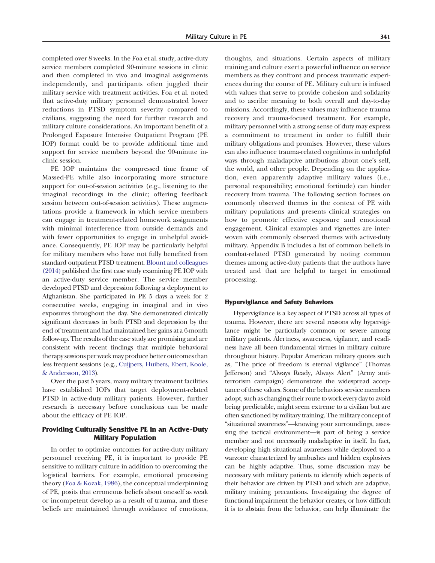completed over 8 weeks. In the Foa et al. study, active-duty service members completed 90-minute sessions in clinic and then completed in vivo and imaginal assignments independently, and participants often juggled their military service with treatment activities. Foa et al. noted that active-duty military personnel demonstrated lower reductions in PTSD symptom severity compared to civilians, suggesting the need for further research and military culture considerations. An important benefit of a Prolonged Exposure Intensive Outpatient Program (PE IOP) format could be to provide additional time and support for service members beyond the 90-minute inclinic session.

PE IOP maintains the compressed time frame of Massed-PE while also incorporating more structure support for out-of-session activities (e.g., listening to the imaginal recordings in the clinic; offering feedback session between out-of-session activities). These augmentations provide a framework in which service members can engage in treatment-related homework assignments with minimal interference from outside demands and with fewer opportunities to engage in unhelpful avoidance. Consequently, PE IOP may be particularly helpful for military members who have not fully benefited from standard outpatient PTSD treatment. [Blount and colleagues](#page-14-0) [\(2014\)](#page-14-0) published the first case study examining PE IOP with an active-duty service member. The service member developed PTSD and depression following a deployment to Afghanistan. She participated in PE 5 days a week for 2 consecutive weeks, engaging in imaginal and in vivo exposures throughout the day. She demonstrated clinically significant decreases in both PTSD and depression by the end of treatment and had maintained her gains at a 6-month follow-up. The results of the case study are promising and are consistent with recent findings that multiple behavioral therapy sessions per week may produce better outcomes than less frequent sessions (e.g., [Cuijpers, Huibers, Ebert, Koole,](#page-14-0) [& Andersson, 2013\)](#page-14-0).

Over the past 5 years, many military treatment facilities have established IOPs that target deployment-related PTSD in active-duty military patients. However, further research is necessary before conclusions can be made about the efficacy of PE IOP.

# Providing Culturally Sensitive PE in an Active-Duty Military Population

In order to optimize outcomes for active-duty military personnel receiving PE, it is important to provide PE sensitive to military culture in addition to overcoming the logistical barriers. For example, emotional processing theory ([Foa & Kozak, 1986\)](#page-14-0), the conceptual underpinning of PE, posits that erroneous beliefs about oneself as weak or incompetent develop as a result of trauma, and these beliefs are maintained through avoidance of emotions, thoughts, and situations. Certain aspects of military training and culture exert a powerful influence on service members as they confront and process traumatic experiences during the course of PE. Military culture is infused with values that serve to provide cohesion and solidarity and to ascribe meaning to both overall and day-to-day missions. Accordingly, these values may influence trauma recovery and trauma-focused treatment. For example, military personnel with a strong sense of duty may express a commitment to treatment in order to fulfill their military obligations and promises. However, these values can also influence trauma-related cognitions in unhelpful ways through maladaptive attributions about one's self, the world, and other people. Depending on the application, even apparently adaptive military values (i.e., personal responsibility; emotional fortitude) can hinder recovery from trauma. The following section focuses on commonly observed themes in the context of PE with military populations and presents clinical strategies on how to promote effective exposure and emotional engagement. Clinical examples and vignettes are interwoven with commonly observed themes with active-duty military. Appendix B includes a list of common beliefs in combat-related PTSD generated by noting common themes among active-duty patients that the authors have treated and that are helpful to target in emotional processing.

### Hypervigilance and Safety Behaviors

Hypervigilance is a key aspect of PTSD across all types of trauma. However, there are several reasons why hypervigilance might be particularly common or severe among military patients. Alertness, awareness, vigilance, and readiness have all been fundamental virtues in military culture throughout history. Popular American military quotes such as, "The price of freedom is eternal vigilance" (Thomas Jefferson) and "Always Ready, Always Alert" (Army antiterrorism campaign) demonstrate the widespread acceptance of these values. Some of the behaviors service members adopt, such as changing their route to work every day to avoid being predictable, might seem extreme to a civilian but are often sanctioned by military training. The military concept of "situational awareness"—knowing your surroundings, assessing the tactical environment—is part of being a service member and not necessarily maladaptive in itself. In fact, developing high situational awareness while deployed to a warzone characterized by ambushes and hidden explosives can be highly adaptive. Thus, some discussion may be necessary with military patients to identify which aspects of their behavior are driven by PTSD and which are adaptive, military training precautions. Investigating the degree of functional impairment the behavior creates, or how difficult it is to abstain from the behavior, can help illuminate the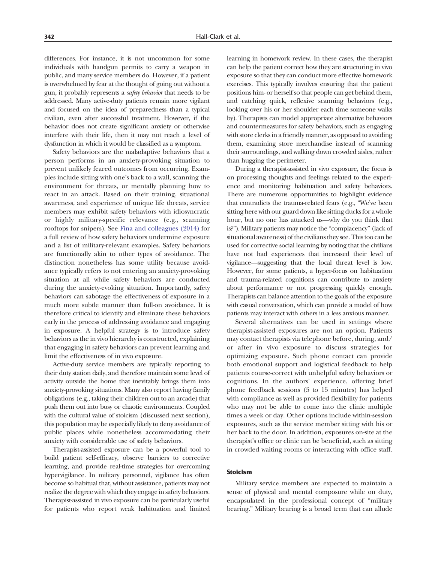differences. For instance, it is not uncommon for some individuals with handgun permits to carry a weapon in public, and many service members do. However, if a patient is overwhelmed by fear at the thought of going out without a gun, it probably represents a safety behavior that needs to be addressed. Many active-duty patients remain more vigilant and focused on the idea of preparedness than a typical civilian, even after successful treatment. However, if the behavior does not create significant anxiety or otherwise interfere with their life, then it may not reach a level of dysfunction in which it would be classified as a symptom.

Safety behaviors are the maladaptive behaviors that a person performs in an anxiety-provoking situation to prevent unlikely feared outcomes from occurring. Examples include sitting with one's back to a wall, scanning the environment for threats, or mentally planning how to react in an attack. Based on their training, situational awareness, and experience of unique life threats, service members may exhibit safety behaviors with idiosyncratic or highly military-specific relevance (e.g., scanning rooftops for snipers). See [Fina and colleagues \(2014\)](#page-14-0) for a full review of how safety behaviors undermine exposure and a list of military-relevant examples. Safety behaviors are functionally akin to other types of avoidance. The distinction nonetheless has some utility because avoidance typically refers to not entering an anxiety-provoking situation at all while safety behaviors are conducted during the anxiety-evoking situation. Importantly, safety behaviors can sabotage the effectiveness of exposure in a much more subtle manner than full-on avoidance. It is therefore critical to identify and eliminate these behaviors early in the process of addressing avoidance and engaging in exposure. A helpful strategy is to introduce safety behaviors as the in vivo hierarchy is constructed, explaining that engaging in safety behaviors can prevent learning and limit the effectiveness of in vivo exposure.

Active-duty service members are typically reporting to their duty station daily, and therefore maintain some level of activity outside the home that inevitably brings them into anxiety-provoking situations. Many also report having family obligations (e.g., taking their children out to an arcade) that push them out into busy or chaotic environments. Coupled with the cultural value of stoicism (discussed next section), this population may be especially likely to deny avoidance of public places while nonetheless accommodating their anxiety with considerable use of safety behaviors.

Therapist-assisted exposure can be a powerful tool to build patient self-efficacy, observe barriers to corrective learning, and provide real-time strategies for overcoming hypervigilance. In military personnel, vigilance has often become so habitual that, without assistance, patients may not realize the degree with which they engage in safety behaviors. Therapist-assisted in vivo exposure can be particularly useful for patients who report weak habituation and limited learning in homework review. In these cases, the therapist can help the patient correct how they are structuring in vivo exposure so that they can conduct more effective homework exercises. This typically involves ensuring that the patient positions him- or herself so that people can get behind them, and catching quick, reflexive scanning behaviors (e.g., looking over his or her shoulder each time someone walks by). Therapists can model appropriate alternative behaviors and countermeasures for safety behaviors, such as engaging with store clerks in a friendly manner, as opposed to avoiding them, examining store merchandise instead of scanning their surroundings, and walking down crowded aisles, rather than hugging the perimeter.

During a therapist-assisted in vivo exposure, the focus is on processing thoughts and feelings related to the experience and monitoring habituation and safety behaviors. There are numerous opportunities to highlight evidence that contradicts the trauma-related fears (e.g., "We've been sitting here with our guard down like sitting ducks for a whole hour, but no one has attacked us—why do you think that is?"). Military patients may notice the "complacency" (lack of situational awareness) of the civilians they see. This too can be used for corrective social learning by noting that the civilians have not had experiences that increased their level of vigilance—suggesting that the local threat level is low. However, for some patients, a hyper-focus on habituation and trauma-related cognitions can contribute to anxiety about performance or not progressing quickly enough. Therapists can balance attention to the goals of the exposure with casual conversation, which can provide a model of how patients may interact with others in a less anxious manner.

Several alternatives can be used in settings where therapist-assisted exposures are not an option. Patients may contact therapists via telephone before, during, and/ or after in vivo exposure to discuss strategies for optimizing exposure. Such phone contact can provide both emotional support and logistical feedback to help patients course-correct with unhelpful safety behaviors or cognitions. In the authors' experience, offering brief phone feedback sessions (5 to 15 minutes) has helped with compliance as well as provided flexibility for patients who may not be able to come into the clinic multiple times a week or day. Other options include within-session exposures, such as the service member sitting with his or her back to the door. In addition, exposures on-site at the therapist's office or clinic can be beneficial, such as sitting in crowded waiting rooms or interacting with office staff.

### Stoicism

Military service members are expected to maintain a sense of physical and mental composure while on duty, encapsulated in the professional concept of "military bearing." Military bearing is a broad term that can allude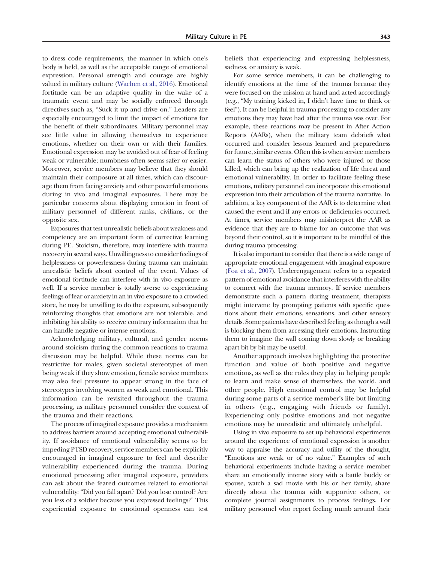to dress code requirements, the manner in which one's body is held, as well as the acceptable range of emotional expression. Personal strength and courage are highly valued in military culture [\(Wachen et al., 2016\)](#page-15-0). Emotional fortitude can be an adaptive quality in the wake of a traumatic event and may be socially enforced through directives such as, "Suck it up and drive on." Leaders are especially encouraged to limit the impact of emotions for the benefit of their subordinates. Military personnel may see little value in allowing themselves to experience emotions, whether on their own or with their families. Emotional expression may be avoided out of fear of feeling weak or vulnerable; numbness often seems safer or easier. Moreover, service members may believe that they should maintain their composure at all times, which can discourage them from facing anxiety and other powerful emotions during in vivo and imaginal exposures. There may be particular concerns about displaying emotion in front of military personnel of different ranks, civilians, or the opposite sex.

Exposures that test unrealistic beliefs about weakness and competency are an important form of corrective learning during PE. Stoicism, therefore, may interfere with trauma recovery in several ways. Unwillingness to consider feelings of helplessness or powerlessness during trauma can maintain unrealistic beliefs about control of the event. Values of emotional fortitude can interfere with in vivo exposure as well. If a service member is totally averse to experiencing feelings of fear or anxiety in an in vivo exposure to a crowded store, he may be unwilling to do the exposure, subsequently reinforcing thoughts that emotions are not tolerable, and inhibiting his ability to receive contrary information that he can handle negative or intense emotions.

Acknowledging military, cultural, and gender norms around stoicism during the common reactions to trauma discussion may be helpful. While these norms can be restrictive for males, given societal stereotypes of men being weak if they show emotion, female service members may also feel pressure to appear strong in the face of stereotypes involving women as weak and emotional. This information can be revisited throughout the trauma processing, as military personnel consider the context of the trauma and their reactions.

The process of imaginal exposure provides a mechanism to address barriers around accepting emotional vulnerability. If avoidance of emotional vulnerability seems to be impeding PTSD recovery, service members can be explicitly encouraged in imaginal exposure to feel and describe vulnerability experienced during the trauma. During emotional processing after imaginal exposure, providers can ask about the feared outcomes related to emotional vulnerability: "Did you fall apart? Did you lose control? Are you less of a soldier because you expressed feelings?" This experiential exposure to emotional openness can test beliefs that experiencing and expressing helplessness, sadness, or anxiety is weak.

For some service members, it can be challenging to identify emotions at the time of the trauma because they were focused on the mission at hand and acted accordingly (e.g., "My training kicked in, I didn't have time to think or feel"). It can be helpful in trauma processing to consider any emotions they may have had after the trauma was over. For example, these reactions may be present in After Action Reports (AARs), when the military team debriefs what occurred and consider lessons learned and preparedness for future, similar events. Often this is when service members can learn the status of others who were injured or those killed, which can bring up the realization of life threat and emotional vulnerability. In order to facilitate feeling these emotions, military personnel can incorporate this emotional expression into their articulation of the trauma narrative. In addition, a key component of the AAR is to determine what caused the event and if any errors or deficiencies occurred. At times, service members may misinterpret the AAR as evidence that they are to blame for an outcome that was beyond their control, so it is important to be mindful of this during trauma processing.

It is also important to consider that there is a wide range of appropriate emotional engagement with imaginal exposure [\(Foa et al., 2007\)](#page-14-0). Underengagement refers to a repeated pattern of emotional avoidance that interferes with the ability to connect with the trauma memory. If service members demonstrate such a pattern during treatment, therapists might intervene by prompting patients with specific questions about their emotions, sensations, and other sensory details. Some patients have described feeling as though a wall is blocking them from accessing their emotions. Instructing them to imagine the wall coming down slowly or breaking apart bit by bit may be useful.

Another approach involves highlighting the protective function and value of both positive and negative emotions, as well as the roles they play in helping people to learn and make sense of themselves, the world, and other people. High emotional control may be helpful during some parts of a service member's life but limiting in others (e.g., engaging with friends or family). Experiencing only positive emotions and not negative emotions may be unrealistic and ultimately unhelpful.

Using in vivo exposure to set up behavioral experiments around the experience of emotional expression is another way to appraise the accuracy and utility of the thought, "Emotions are weak or of no value." Examples of such behavioral experiments include having a service member share an emotionally intense story with a battle buddy or spouse, watch a sad movie with his or her family, share directly about the trauma with supportive others, or complete journal assignments to process feelings. For military personnel who report feeling numb around their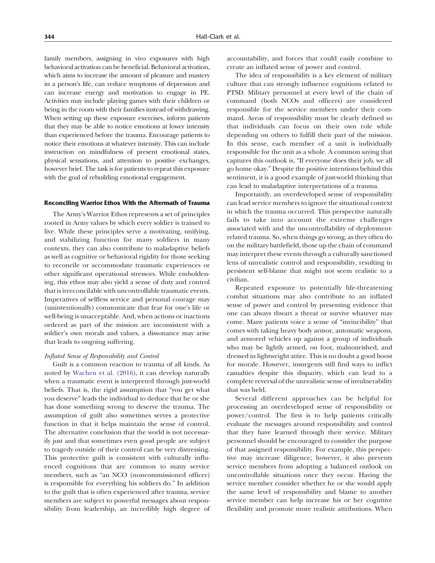family members, assigning in vivo exposures with high behavioral activation can be beneficial. Behavioral activation, which aims to increase the amount of pleasure and mastery in a person's life, can reduce symptoms of depression and can increase energy and motivation to engage in PE. Activities may include playing games with their children or being in the room with their families instead of withdrawing. When setting up these exposure exercises, inform patients that they may be able to notice emotions at lower intensity than experienced before the trauma. Encourage patients to notice their emotions at whatever intensity. This can include instruction on mindfulness of present emotional states, physical sensations, and attention to positive exchanges, however brief. The task is for patients to repeat this exposure with the goal of rebuilding emotional engagement.

### Reconciling Warrior Ethos With the Aftermath of Trauma

The Army's Warrior Ethos represents a set of principles rooted in Army values by which every soldier is trained to live. While these principles serve a motivating, unifying, and stabilizing function for many soldiers in many contexts, they can also contribute to maladaptive beliefs as well as cognitive or behavioral rigidity for those seeking to reconcile or accommodate traumatic experiences or other significant operational stressors. While emboldening, this ethos may also yield a sense of duty and control that is irreconcilable with uncontrollable traumatic events. Imperatives of selfless service and personal courage may (unintentionally) communicate that fear for one's life or well-being is unacceptable. And, when actions or inactions ordered as part of the mission are inconsistent with a soldier's own morals and values, a dissonance may arise that leads to ongoing suffering.

### Inflated Sense of Responsibility and Control

Guilt is a common reaction to trauma of all kinds. As noted by [Wachen et al. \(2016\),](#page-15-0) it can develop naturally when a traumatic event is interpreted through just-world beliefs. That is, the rigid assumption that "you get what you deserve" leads the individual to deduce that he or she has done something wrong to deserve the trauma. The assumption of guilt also sometimes serves a protective function in that it helps maintain the sense of control. The alternative conclusion that the world is not necessarily just and that sometimes even good people are subject to tragedy outside of their control can be very distressing. This protective guilt is consistent with culturally influenced cognitions that are common to many service members, such as "an NCO (noncommissioned officer) is responsible for everything his soldiers do." In addition to the guilt that is often experienced after trauma, service members are subject to powerful messages about responsibility from leadership, an incredibly high degree of accountability, and forces that could easily combine to create an inflated sense of power and control.

The idea of responsibility is a key element of military culture that can strongly influence cognitions related to PTSD. Military personnel at every level of the chain of command (both NCOs and officers) are considered responsible for the service members under their command. Areas of responsibility must be clearly defined so that individuals can focus on their own role while depending on others to fulfill their part of the mission. In this sense, each member of a unit is individually responsible for the unit as a whole. A common saying that captures this outlook is, "If everyone does their job, we all go home okay." Despite the positive intentions behind this sentiment, it is a good example of just-world thinking that can lead to maladaptive interpretations of a trauma.

Importantly, an overdeveloped sense of responsibility can lead service members to ignore the situational context in which the trauma occurred. This perspective naturally fails to take into account the extreme challenges associated with and the uncontrollability of deploymentrelated trauma. So, when things go wrong, as they often do on the military battlefield, those up the chain of command may interpret these events through a culturally sanctioned lens of unrealistic control and responsibility, resulting in persistent self-blame that might not seem realistic to a civilian.

Repeated exposure to potentially life-threatening combat situations may also contribute to an inflated sense of power and control by presenting evidence that one can always thwart a threat or survive whatever may come. Many patients voice a sense of "invincibility" that comes with taking heavy body armor, automatic weapons, and armored vehicles up against a group of individuals who may be lightly armed, on foot, malnourished, and dressed in lightweight attire. This is no doubt a good boost for morale. However, insurgents still find ways to inflict casualties despite this disparity, which can lead to a complete reversal of the unrealistic sense of invulnerability that was held.

Several different approaches can be helpful for processing an overdeveloped sense of responsibility or power/control. The first is to help patients critically evaluate the messages around responsibility and control that they have learned through their service. Military personnel should be encouraged to consider the purpose of that assigned responsibility. For example, this perspective may increase diligence; however, it also prevents service members from adopting a balanced outlook on uncontrollable situations once they occur. Having the service member consider whether he or she would apply the same level of responsibility and blame to another service member can help increase his or her cognitive flexibility and promote more realistic attributions. When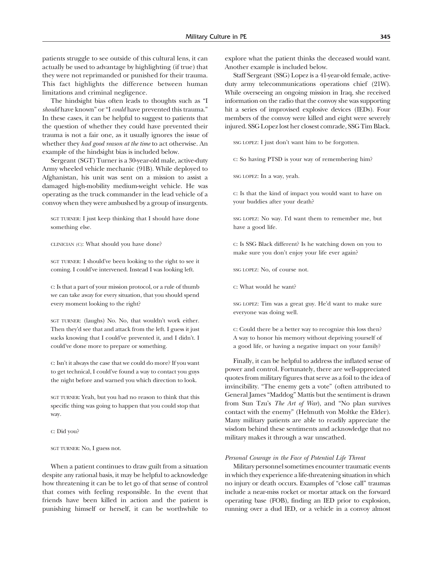patients struggle to see outside of this cultural lens, it can actually be used to advantage by highlighting (if true) that they were not reprimanded or punished for their trauma. This fact highlights the difference between human limitations and criminal negligence.

The hindsight bias often leads to thoughts such as "I should have known" or "I could have prevented this trauma." In these cases, it can be helpful to suggest to patients that the question of whether they could have prevented their trauma is not a fair one, as it usually ignores the issue of whether they had good reason at the time to act otherwise. An example of the hindsight bias is included below.

Sergeant (SGT) Turner is a 30-year-old male, active-duty Army wheeled vehicle mechanic (91B). While deployed to Afghanistan, his unit was sent on a mission to assist a damaged high-mobility medium-weight vehicle. He was operating as the truck commander in the lead vehicle of a convoy when they were ambushed by a group of insurgents.

SGT TURNER: I just keep thinking that I should have done something else.

CLINICIAN (C): What should you have done?

SGT TURNER: I should've been looking to the right to see it coming. I could've intervened. Instead I was looking left.

C: Is that a part of your mission protocol, or a rule of thumb we can take away for every situation, that you should spend every moment looking to the right?

SGT TURNER: (laughs) No. No, that wouldn't work either. Then they'd see that and attack from the left. I guess it just sucks knowing that I could've prevented it, and I didn't. I could've done more to prepare or something.

C: Isn't it always the case that we could do more? If you want to get technical, I could've found a way to contact you guys the night before and warned you which direction to look.

SGT TURNER: Yeah, but you had no reason to think that this specific thing was going to happen that you could stop that way.

C: Did you?

SGT TURNER: No, I guess not.

When a patient continues to draw guilt from a situation despite any rational basis, it may be helpful to acknowledge how threatening it can be to let go of that sense of control that comes with feeling responsible. In the event that friends have been killed in action and the patient is punishing himself or herself, it can be worthwhile to explore what the patient thinks the deceased would want. Another example is included below.

Staff Sergeant (SSG) Lopez is a 41-year-old female, activeduty army telecommunications operations chief (21W). While overseeing an ongoing mission in Iraq, she received information on the radio that the convoy she was supporting hit a series of improvised explosive devices (IEDs). Four members of the convoy were killed and eight were severely injured. SSG Lopez lost her closest comrade, SSG Tim Black.

SSG LOPEZ: I just don't want him to be forgotten.

C: So having PTSD is your way of remembering him?

SSG LOPEZ: In a way, yeah.

C: Is that the kind of impact you would want to have on your buddies after your death?

SSG LOPEZ: No way. I'd want them to remember me, but have a good life.

C: Is SSG Black different? Is he watching down on you to make sure you don't enjoy your life ever again?

SSG LOPEZ: No, of course not.

C: What would he want?

SSG LOPEZ: Tim was a great guy. He'd want to make sure everyone was doing well.

C: Could there be a better way to recognize this loss then? A way to honor his memory without depriving yourself of a good life, or having a negative impact on your family?

Finally, it can be helpful to address the inflated sense of power and control. Fortunately, there are well-appreciated quotes from military figures that serve as a foil to the idea of invincibility. "The enemy gets a vote" (often attributed to General James "Maddog" Mattis but the sentiment is drawn from Sun Tzu's The Art of War), and "No plan survives contact with the enemy" (Helmuth von Moltke the Elder). Many military patients are able to readily appreciate the wisdom behind these sentiments and acknowledge that no military makes it through a war unscathed.

#### Personal Courage in the Face of Potential Life Threat

Military personnel sometimes encounter traumatic events in which they experience a life-threatening situation in which no injury or death occurs. Examples of "close call" traumas include a near-miss rocket or mortar attack on the forward operating base (FOB), finding an IED prior to explosion, running over a dud IED, or a vehicle in a convoy almost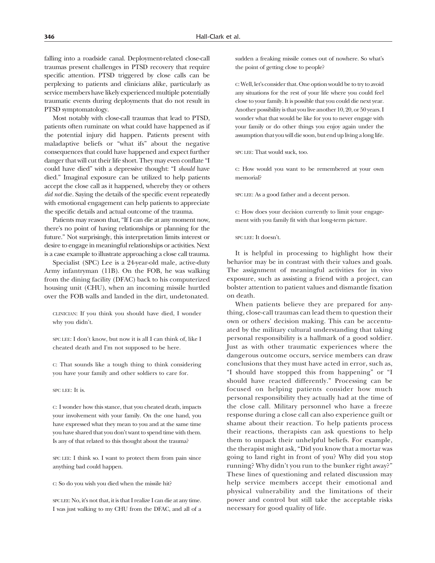falling into a roadside canal. Deployment-related close-call traumas present challenges in PTSD recovery that require specific attention. PTSD triggered by close calls can be perplexing to patients and clinicians alike, particularly as service members have likely experienced multiple potentially traumatic events during deployments that do not result in PTSD symptomatology.

Most notably with close-call traumas that lead to PTSD, patients often ruminate on what could have happened as if the potential injury did happen. Patients present with maladaptive beliefs or "what ifs" about the negative consequences that could have happened and expect further danger that will cut their life short. They may even conflate "I could have died" with a depressive thought: "I should have died." Imaginal exposure can be utilized to help patients accept the close call as it happened, whereby they or others did not die. Saying the details of the specific event repeatedly with emotional engagement can help patients to appreciate the specific details and actual outcome of the trauma.

Patients may reason that, "If I can die at any moment now, there's no point of having relationships or planning for the future." Not surprisingly, this interpretation limits interest or desire to engage in meaningful relationships or activities. Next is a case example to illustrate approaching a close call trauma.

Specialist (SPC) Lee is a 24-year-old male, active-duty Army infantryman (11B). On the FOB, he was walking from the dining facility (DFAC) back to his computerized housing unit (CHU), when an incoming missile hurtled over the FOB walls and landed in the dirt, undetonated.

CLINICIAN: If you think you should have died, I wonder why you didn't.

SPC LEE: I don't know, but now it is all I can think of, like I cheated death and I'm not supposed to be here.

C: That sounds like a tough thing to think considering you have your family and other soldiers to care for.

### SPC LEE: It is.

C: I wonder how this stance, that you cheated death, impacts your involvement with your family. On the one hand, you have expressed what they mean to you and at the same time you have shared that you don't want to spend time with them. Is any of that related to this thought about the trauma?

SPC LEE: I think so. I want to protect them from pain since anything bad could happen.

C: So do you wish you died when the missile hit?

SPC LEE: No, it's not that, it is that I realize I can die at any time. I was just walking to my CHU from the DFAC, and all of a sudden a freaking missile comes out of nowhere. So what's the point of getting close to people?

C: Well, let's consider that. One option would be to try to avoid any situations for the rest of your life where you could feel close to your family. It is possible that you could die next year. Another possibility is that you live another 10, 20, or 50 years. I wonder what that would be like for you to never engage with your family or do other things you enjoy again under the assumption that you will die soon, but end up living a long life.

SPC LEE: That would suck, too.

C: How would you want to be remembered at your own memorial?

SPC LEE: As a good father and a decent person.

C: How does your decision currently to limit your engagement with you family fit with that long-term picture.

### SPC LEE: It doesn't.

It is helpful in processing to highlight how their behavior may be in contrast with their values and goals. The assignment of meaningful activities for in vivo exposure, such as assisting a friend with a project, can bolster attention to patient values and dismantle fixation on death.

When patients believe they are prepared for anything, close-call traumas can lead them to question their own or others' decision making. This can be accentuated by the military cultural understanding that taking personal responsibility is a hallmark of a good soldier. Just as with other traumatic experiences where the dangerous outcome occurs, service members can draw conclusions that they must have acted in error, such as, "I should have stopped this from happening" or "I should have reacted differently." Processing can be focused on helping patients consider how much personal responsibility they actually had at the time of the close call. Military personnel who have a freeze response during a close call can also experience guilt or shame about their reaction. To help patients process their reactions, therapists can ask questions to help them to unpack their unhelpful beliefs. For example, the therapist might ask, "Did you know that a mortar was going to land right in front of you? Why did you stop running? Why didn't you run to the bunker right away?" These lines of questioning and related discussion may help service members accept their emotional and physical vulnerability and the limitations of their power and control but still take the acceptable risks necessary for good quality of life.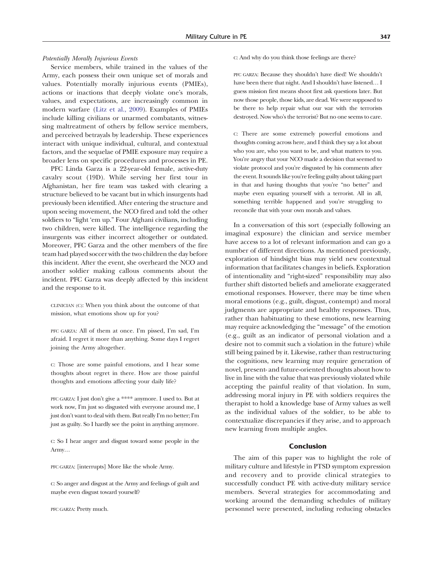### Potentially Morally Injurious Events

Service members, while trained in the values of the Army, each possess their own unique set of morals and values. Potentially morally injurious events (PMIEs), actions or inactions that deeply violate one's morals, values, and expectations, are increasingly common in modern warfare ([Litz et al., 2009](#page-14-0)). Examples of PMIEs include killing civilians or unarmed combatants, witnessing maltreatment of others by fellow service members, and perceived betrayals by leadership. These experiences interact with unique individual, cultural, and contextual factors, and the sequelae of PMIE exposure may require a broader lens on specific procedures and processes in PE.

PFC Linda Garza is a 22-year-old female, active-duty cavalry scout (19D). While serving her first tour in Afghanistan, her fire team was tasked with clearing a structure believed to be vacant but in which insurgents had previously been identified. After entering the structure and upon seeing movement, the NCO fired and told the other soldiers to "light 'em up." Four Afghani civilians, including two children, were killed. The intelligence regarding the insurgents was either incorrect altogether or outdated. Moreover, PFC Garza and the other members of the fire team had played soccer with the two children the day before this incident. After the event, she overheard the NCO and another soldier making callous comments about the incident. PFC Garza was deeply affected by this incident and the response to it.

CLINICIAN (C): When you think about the outcome of that mission, what emotions show up for you?

PFC GARZA: All of them at once. I'm pissed, I'm sad, I'm afraid. I regret it more than anything. Some days I regret joining the Army altogether.

C: Those are some painful emotions, and I hear some thoughts about regret in there. How are those painful thoughts and emotions affecting your daily life?

PFC GARZA: I just don't give a \*\*\*\* anymore. I used to. But at work now, I'm just so disgusted with everyone around me, I just don't want to deal with them. But really I'm no better; I'm just as guilty. So I hardly see the point in anything anymore.

C: So I hear anger and disgust toward some people in the Army…

PFC GARZA: [interrupts] More like the whole Army.

C: So anger and disgust at the Army and feelings of guilt and maybe even disgust toward yourself?

PFC GARZA: Pretty much.

### C: And why do you think those feelings are there?

PFC GARZA: Because they shouldn't have died! We shouldn't have been there that night. And I shouldn't have listened… I guess mission first means shoot first ask questions later. But now those people, those kids, are dead. We were supposed to be there to help repair what our war with the terrorists destroyed. Now who's the terrorist? But no one seems to care.

C: There are some extremely powerful emotions and thoughts coming across here, and I think they say a lot about who you are, who you want to be, and what matters to you. You're angry that your NCO made a decision that seemed to violate protocol and you're disgusted by his comments after the event. It sounds like you're feeling guilty about taking part in that and having thoughts that you're "no better" and maybe even equating yourself with a terrorist. All in all, something terrible happened and you're struggling to reconcile that with your own morals and values.

In a conversation of this sort (especially following an imaginal exposure) the clinician and service member have access to a lot of relevant information and can go a number of different directions. As mentioned previously, exploration of hindsight bias may yield new contextual information that facilitates changes in beliefs. Exploration of intentionality and "right-sized" responsibility may also further shift distorted beliefs and ameliorate exaggerated emotional responses. However, there may be time when moral emotions (e.g., guilt, disgust, contempt) and moral judgments are appropriate and healthy responses. Thus, rather than habituating to these emotions, new learning may require acknowledging the "message" of the emotion (e.g., guilt as an indicator of personal violation and a desire not to commit such a violation in the future) while still being pained by it. Likewise, rather than restructuring the cognitions, new learning may require generation of novel, present- and future-oriented thoughts about how to live in line with the value that was previously violated while accepting the painful reality of that violation. In sum, addressing moral injury in PE with soldiers requires the therapist to hold a knowledge base of Army values as well as the individual values of the soldier, to be able to contextualize discrepancies if they arise, and to approach new learning from multiple angles.

### Conclusion

The aim of this paper was to highlight the role of military culture and lifestyle in PTSD symptom expression and recovery and to provide clinical strategies to successfully conduct PE with active-duty military service members. Several strategies for accommodating and working around the demanding schedules of military personnel were presented, including reducing obstacles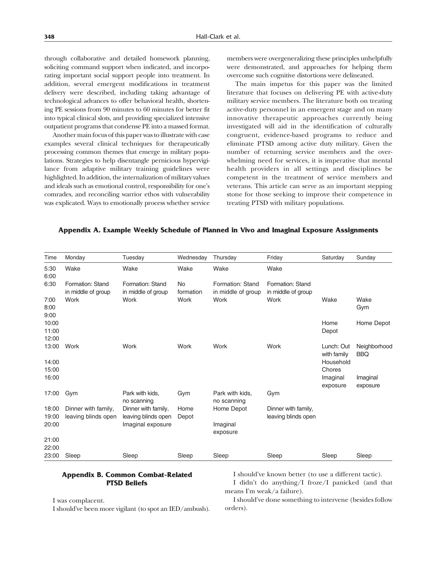through collaborative and detailed homework planning, soliciting command support when indicated, and incorporating important social support people into treatment. In addition, several emergent modifications in treatment delivery were described, including taking advantage of technological advances to offer behavioral health, shortening PE sessions from 90 minutes to 60 minutes for better fit into typical clinical slots, and providing specialized intensive outpatient programs that condense PE into a massed format.

Another main focus of this paper was to illustrate with case examples several clinical techniques for therapeutically processing common themes that emerge in military populations. Strategies to help disentangle pernicious hypervigilance from adaptive military training guidelines were highlighted. In addition, the internalization of military values and ideals such as emotional control, responsibility for one's comrades, and reconciling warrior ethos with vulnerability was explicated. Ways to emotionally process whether service members were overgeneralizing these principles unhelpfully were demonstrated, and approaches for helping them overcome such cognitive distortions were delineated.

The main impetus for this paper was the limited literature that focuses on delivering PE with active-duty military service members. The literature both on treating active-duty personnel in an emergent stage and on many innovative therapeutic approaches currently being investigated will aid in the identification of culturally congruent, evidence-based programs to reduce and eliminate PTSD among active duty military. Given the number of returning service members and the overwhelming need for services, it is imperative that mental health providers in all settings and disciplines be competent in the treatment of service members and veterans. This article can serve as an important stepping stone for those seeking to improve their competence in treating PTSD with military populations.

### Appendix A. Example Weekly Schedule of Planned in Vivo and Imaginal Exposure Assignments

| Time                    | Monday                                 | Tuesday                                | Wednesday       | Thursday                               | Friday                                 | Saturday                  | Sunday                     |
|-------------------------|----------------------------------------|----------------------------------------|-----------------|----------------------------------------|----------------------------------------|---------------------------|----------------------------|
| 5:30<br>6:00            | Wake                                   | Wake                                   | Wake            | Wake                                   | Wake                                   |                           |                            |
| 6:30                    | Formation: Stand<br>in middle of group | Formation: Stand<br>in middle of group | No<br>formation | Formation: Stand<br>in middle of group | Formation: Stand<br>in middle of group |                           |                            |
| 7:00<br>8:00<br>9:00    | Work                                   | Work                                   | Work            | Work                                   | Work                                   | Wake                      | Wake<br>Gym                |
| 10:00<br>11:00<br>12:00 |                                        |                                        |                 |                                        |                                        | Home<br>Depot             | Home Depot                 |
| 13:00                   | Work                                   | Work                                   | Work            | Work                                   | Work                                   | Lunch: Out<br>with family | Neighborhood<br><b>BBQ</b> |
| 14:00<br>15:00          |                                        |                                        |                 |                                        |                                        | Household<br>Chores       |                            |
| 16:00                   |                                        |                                        |                 |                                        |                                        | Imaginal<br>exposure      | Imaginal<br>exposure       |
| 17:00                   | Gym                                    | Park with kids,<br>no scanning         | Gym             | Park with kids.<br>no scanning         | Gym                                    |                           |                            |
| 18:00                   | Dinner with family,                    | Dinner with family,                    | Home            | Home Depot                             | Dinner with family,                    |                           |                            |
| 19:00                   | leaving blinds open                    | leaving blinds open                    | Depot           |                                        | leaving blinds open                    |                           |                            |
| 20:00                   |                                        | Imaginal exposure                      |                 | Imaginal<br>exposure                   |                                        |                           |                            |
| 21:00                   |                                        |                                        |                 |                                        |                                        |                           |                            |
| 22:00                   |                                        |                                        |                 |                                        |                                        |                           |                            |
| 23:00                   | Sleep                                  | Sleep                                  | Sleep           | Sleep                                  | Sleep                                  | Sleep                     | Sleep                      |

# Appendix B. Common Combat-Related PTSD Beliefs

I was complacent.

I should've been more vigilant (to spot an IED/ambush).

I should've known better (to use a different tactic).

I didn't do anything/I froze/I panicked (and that means I'm weak/a failure).

I should've done something to intervene (besides follow orders).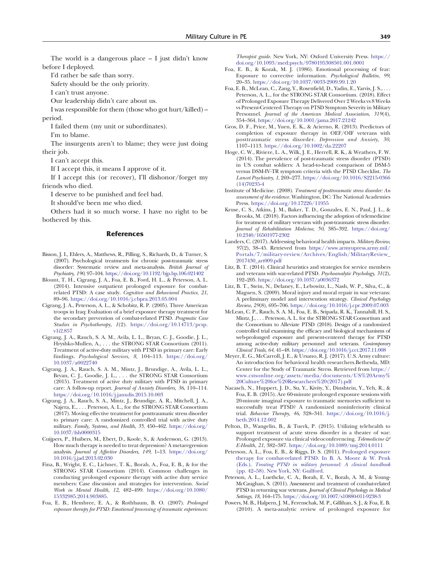<span id="page-14-0"></span>The world is a dangerous place – I just didn't know before I deployed.

I'd rather be safe than sorry.

Safety should be the only priority.

I can't trust anyone.

Our leadership didn't care about us.

I was responsible for them (those who got hurt/killed) – period.

I failed them (my unit or subordinates).

I'm to blame.

The insurgents aren't to blame; they were just doing their job.

I can't accept this.

If I accept this, it means I approve of it.

If I accept this (or recover), I'll dishonor/forget my friends who died.

I deserve to be punished and feel bad.

It should've been me who died.

Others had it so much worse. I have no right to be bothered by this.

### References

- Bisson, J. I., Ehlers, A., Matthews, R., Pilling, S., Richards, D., & Turner, S. (2007). Psychological treatments for chronic post-traumatic stress disorder: Systematic review and meta-analysis. British Journal of Psychiatry, 190, 97–104. https://doi.org[/10.1192/bjp.bp.106.021402](https://doi.org/10.1192/bjp.bp.106.021402)
- Blount, T. H., Cigrang, J. A., Foa, E. B., Ford, H. L., & Peterson, A. L. (2014). Intensive outpatient prolonged exposure for combatrelated PTSD: A case study. Cognitive and Behavioral Practice, 21, 89–96. https://doi.org[/10.1016/j.cbpra.2013.05.004](https://doi.org/10.1016/j.cbpra.2013.05.004)
- Cigrang, J. A., Peterson, A. L., & Schobitz, R. P. (2005). Three American troops in Iraq: Evaluation of a brief exposure therapy treatment for the secondary prevention of combat-related PTSD. Pragmatic Case Studies in Psychotherapy, 1(2). https://doi.org/[10.14713/pcsp.](https://doi.org/10.14713/pcsp.v1i2.857) [v1i2.857](https://doi.org/10.14713/pcsp.v1i2.857)
- Cigrang, J. A., Rauch, S. A. M., Avila, L. L., Bryan, C. J., Goodie, J. L., Hryshko-Mullen, A., . . . the STRONG STAR Consortium (2011). Treatment of active-duty military with PTSD in primary care: Early findings. Psychological Services, 8, 104–113. https://doi.org/ [10.1037/a0022740](https://doi.org/10.1037/a0022740)
- Cigrang, J. A., Rauch, S. A. M., Mintz, J., Brundige, A., Avila, L. L., Bryan, C. J., Goodie, J. L., . . . the STRONG STAR Consortium (2015). Treatment of active duty military with PTSD in primary care: A follow-up report. Journal of Anxiety Disorders, 36, 110–114. https://doi.org[/10.1016/j.janxdis.2015.10.003](https://doi.org/10.1016/j.janxdis.2015.10.003)
- Cigrang, J. A., Rauch, S. A., Mintz, J., Brundige, A. R., Mitchell, J. A., Najera, E., . . . Peterson, A. L., for the STRONG STAR Consortium (2017). Moving effective treatment for posttraumatic stress disorder to primary care: A randomized controlled trial with active duty military. Family, Systems, and Health, 35, 450–462. https://doi.org/ [10.1037/fsh0000315](https://doi.org/10.1037/fsh0000315)
- Cuijpers, P., Huibers, M., Ebert, D., Koole, S., & Andersson, G. (2013). How much therapy is needed to treat depression? A metaregression analysis. Journal of Affective Disorders, 149, 1–13. https://doi.org/ [10.1016/j.jad.2013.02.030](https://doi.org/10.1016/j.jad.2013.02.030)
- Fina, B., Wright, E. C., Lichner, T. K., Borah, A., Foa, E. B., & for the STRONG STAR Consortium (2014). Common challenges in conducting prolonged exposure therapy with active duty service members: Case discussion and strategies for intervention. Social Work in Mental Health, 12, 482–499. https://doi.org/[10.1080/](https://doi.org/10.1080/15332985.2014.903885) [15332985.2014.903885](https://doi.org/10.1080/15332985.2014.903885).
- Foa, E. B., Hembree, E. A., & Rothbaum, B. O. (2007). Prolonged exposure therapy for PTSD: Emotional processing of traumatic experiences:

Therapist guide. New York, NY: Oxford University Press. https:// doi.org/[10.1093/med:psych/9780195308501.001.0001](https://doi.org/10.1093/med:psych/9780195308501.001.0001)

- Foa, E. B., & Kozak, M. J. (1986). Emotional processing of fear: Exposure to corrective information. Psychological Bulletin, 99, 20–35. https://doi.org[/10.1037/0033-2909.99.1.20](https://doi.org/10.1037/0033-2909.99.1.20)
- Foa, E. B., McLean, C., Zang, Y., Rosenfield, D., Yadin, E., Yarvis, J. S., . . . Peterson, A. L., for the STRONG STAR Consortium. (2018). Effect of Prolonged Exposure Therapy Delivered Over 2 Weeks vs 8 Weeks vs Present-Centered Therapy on PTSD Symptom Severity in Military Personnel. Journal of the American Medical Association, 319(4), 354–364. https://doi.org/[10.1001/jama.2017.21242](https://doi.org/10.1001/jama.2017.21242)
- Gros, D. F., Price, M., Yuen, E. K., & Acierno, R. (2013). Predictors of completion of exposure therapy in OEF/OIF veterans with posttraumatic stress disorder. Depression and Anxiety, 30, 1107–1113. https://doi.org/[10.1002/da.22207](https://doi.org/10.1002/da.22207)
- Hoge, C. W., Riviere, L. A., Wilk, J. E., Herrell, R. K., & Weathers, F. W. (2014). The prevalence of post-traumatic stress disorder (PTSD) in US combat soldiers: A head-to-head comparison of DSM-5 versus DSM-IV-TR symptom criteria with the PTSD Checklist. The Lancet Psychiatry, 1, 269–277. https://doi.org[/10.1016/S2215-0366](https://doi.org/10.1016/S2215-0366(14)70235-4) [\(14\)70235-4](https://doi.org/10.1016/S2215-0366(14)70235-4)
- Institute of Medicine. (2008). Treatment of posttraumatic stress disorder: An assessment of the evidence. Washington, DC: The National Academies Press. https://doi.org[/10.17226/11955](https://doi.org/10.17226/11955)
- Kruse, C. S., Atkins, J. M., Baker, T. D., Gonzales, E. N., Paul, J. L., & Brooks, M. (2018). Factors influencing the adoption of telemedicine for treatment of military veterans with post-traumatic stress disorder. Journal of Rehabilitation Medicine, 50, 385–392. https://doi.org/ [10.2340/16501977-2302](https://doi.org/10.2340/16501977-2302)
- Landers, C. (2017). Addressing behavioral health impacts. Military Review, 97(2), 38–45. Retrieved from [https://www.armyupress.army.mil/](https://www.armyupress.army.mil/Portals/7/military-review/Archives/English/MilitaryReview_2017430_art009.pdf) [Portals/7/military-review/Archives/English/MilitaryReview\\_](https://www.armyupress.army.mil/Portals/7/military-review/Archives/English/MilitaryReview_2017430_art009.pdf) [2017430\\_art009.pdf](https://www.armyupress.army.mil/Portals/7/military-review/Archives/English/MilitaryReview_2017430_art009.pdf)
- Litz, B. T. (2014). Clinical heuristics and strategies for service members and veterans with war-related PTSD. Psychoanalytic Psychology, 31(2), 192–205. https://doi.org/[10.1037/a0036372](https://doi.org/10.1037/a0036372)
- Litz, B. T., Stein, N., Delaney, E., Lebowitz, L., Nash, W. P., Silva, C., & Maguen, S. (2009). Moral injury and moral repair in war veterans: A preliminary model and intervention strategy. Clinical Psychology Review, 29(8), 695–706. https://doi.org[/10.1016/j.cpr.2009.07.003](https://doi.org/10.1016/j.cpr.2009.07.003)
- McLean, C. P., Rauch, S. A. M., Foa, E. B., Sripada, R. K., Tannahill, H. S., Mintz, J., . . . Peterson, A. L. for the STRONG STAR Consortium and the Consortium to Alleviate PTSD (2018). Design of a randomized controlled trial examining the efficacy and biological mechanisms of web-prolonged exposure and present-centered therapy for PTSD among active-duty military personnel and veterans. Contemporary Clinical Trials, 64, 41–48. https://doi.org/[10.1016/j.cct.2017.11.008](https://doi.org/10.1016/j.cct.2017.11.008)
- Meyer, E. G., McCarroll, J. E., & Ursano, R. J. (2017). U.S. Army culture: An introduction for behavioral health researchers.Bethesda, MD: Center for the Study of Traumatic Stress. Retrieved from [https://](https://www.cstsonline.org/assets/media/documents/US%20Army%20Culture%20for%20Researchers%20(2017).pdf) [www.cstsonline.org/assets/media/documents/US%20Army%](https://www.cstsonline.org/assets/media/documents/US%20Army%20Culture%20for%20Researchers%20(2017).pdf) [20Culture%20for%20Researchers%20\(2017\).pdf](https://www.cstsonline.org/assets/media/documents/US%20Army%20Culture%20for%20Researchers%20(2017).pdf)
- Nacasch, N., Huppert, J. D., Su, Y., Kivity, Y., Dinshtein, Y., Yeh, R., & Foa, E. B. (2015). Are 60-minute prolonged exposure sessions with 20-minute imaginal exposure to traumatic memories sufficient to successfully treat PTSD? A randomized noninferiority clinical trial. Behavior Therapy, 46, 328–341. https://doi.org/[10.1016/j.](https://doi.org/10.1016/j.beth.2014.12.002) [beth.2014.12.002](https://doi.org/10.1016/j.beth.2014.12.002)
- Pelton, D., Wangelin, B., & Tuerk, P. (2015). Utilizing telehealth to support treatment of acute stress disorder in a theater of war: Prolonged exposure via clinical videoconferencing. Telemedicine  $\mathcal{F}$ E-Health, 21, 382–387. https://doi.org/[10.1089/tmj.2014.0111](https://doi.org/10.1089/tmj.2014.0111)
- Peterson, A. L., Foa, E. B., & Riggs, D. S. (2011). Prolonged exposure therapy for combat-related PTSD. In B. A. Moore & W. Penk (Eds.), Treating PTSD in military personnel: A clinical handbook (pp. 42–58). New York, NY: Guilford.
- Peterson, A. L., Luethcke, C. A., Borah, E. V., Borah, A. M., & Young-McCaughan, S. (2011). Assessment and treatment of combat-related PTSD in returning war veterans. Journal of Clinical Psychology in Medical Settings, 18, 164–175. https://doi.org[/10.1007/s10880-011-9238-3](https://doi.org/10.1007/s10880-011-9238-3)
- Powers, M. B., Halpern, J. M., Ferenschak, M. P., Gillihan, S. J., & Foa, E. B. (2010). A meta-analytic review of prolonged exposure for